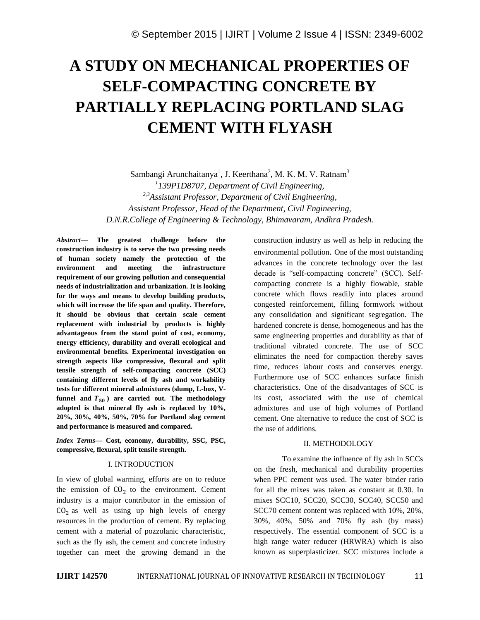# **A STUDY ON MECHANICAL PROPERTIES OF SELF-COMPACTING CONCRETE BY PARTIALLY REPLACING PORTLAND SLAG CEMENT WITH FLYASH**

Sambangi Arunchaitanya<sup>1</sup>, J. Keerthana<sup>2</sup>, M. K. M. V. Ratnam<sup>3</sup> *1 139P1D8707, Department of Civil Engineering, 2,3Assistant Professor, Department of Civil Engineering, Assistant Professor, Head of the Department, Civil Engineering, D.N.R.College of Engineering & Technology, Bhimavaram, Andhra Pradesh.*

*Abstract—* **The greatest challenge before the construction industry is to serve the two pressing needs of human society namely the protection of the environment and meeting the infrastructure requirement of our growing pollution and consequential needs of industrialization and urbanization. It is looking for the ways and means to develop building products, which will increase the life span and quality. Therefore, it should be obvious that certain scale cement replacement with industrial by products is highly advantageous from the stand point of cost, economy, energy efficiency, durability and overall ecological and environmental benefits. Experimental investigation on strength aspects like compressive, flexural and split tensile strength of self-compacting concrete (SCC) containing different levels of fly ash and workability tests for different mineral admixtures (slump, L-box, V**funnel and  $T_{50}$ ) are carried out. The methodology **adopted is that mineral fly ash is replaced by 10%, 20%, 30%, 40%, 50%, 70% for Portland slag cement and performance is measured and compared.** 

*Index Terms—* **Cost, economy, durability, SSC, PSC, compressive, flexural, split tensile strength.**

# I. INTRODUCTION

In view of global warming, efforts are on to reduce the emission of  $CO<sub>2</sub>$  to the environment. Cement industry is a major contributor in the emission of  $CO<sub>2</sub>$  as well as using up high levels of energy resources in the production of cement. By replacing cement with a material of pozzolanic characteristic, such as the fly ash, the cement and concrete industry together can meet the growing demand in the

construction industry as well as help in reducing the environmental pollution. One of the most outstanding advances in the concrete technology over the last decade is "self-compacting concrete" (SCC). Selfcompacting concrete is a highly flowable, stable concrete which flows readily into places around congested reinforcement, filling formwork without any consolidation and significant segregation. The hardened concrete is dense, homogeneous and has the same engineering properties and durability as that of traditional vibrated concrete. The use of SCC eliminates the need for compaction thereby saves time, reduces labour costs and conserves energy. Furthermore use of SCC enhances surface finish characteristics. One of the disadvantages of SCC is its cost, associated with the use of chemical admixtures and use of high volumes of Portland cement. One alternative to reduce the cost of SCC is the use of additions.

#### II. METHODOLOGY

To examine the influence of fly ash in SCCs on the fresh, mechanical and durability properties when PPC cement was used. The water–binder ratio for all the mixes was taken as constant at 0.30. In mixes SCC10, SCC20, SCC30, SCC40, SCC50 and SCC70 cement content was replaced with 10%, 20%, 30%, 40%, 50% and 70% fly ash (by mass) respectively. The essential component of SCC is a high range water reducer (HRWRA) which is also known as superplasticizer. SCC mixtures include a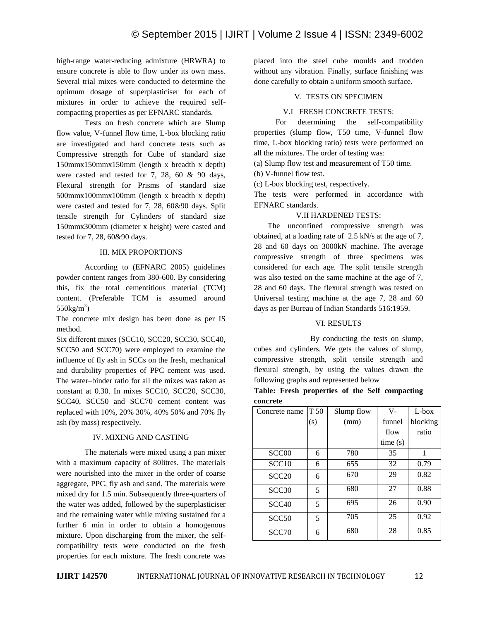high-range water-reducing admixture (HRWRA) to ensure concrete is able to flow under its own mass. Several trial mixes were conducted to determine the optimum dosage of superplasticiser for each of mixtures in order to achieve the required selfcompacting properties as per EFNARC standards.

Tests on fresh concrete which are Slump flow value, V-funnel flow time, L-box blocking ratio are investigated and hard concrete tests such as Compressive strength for Cube of standard size 150mmx150mmx150mm (length x breadth x depth) were casted and tested for 7, 28, 60 & 90 days, Flexural strength for Prisms of standard size 500mmx100mmx100mm (length x breadth x depth) were casted and tested for 7, 28, 60&90 days. Split tensile strength for Cylinders of standard size 150mmx300mm (diameter x height) were casted and tested for 7, 28, 60&90 days.

# III. MIX PROPORTIONS

According to (EFNARC 2005) guidelines powder content ranges from 380-600. By considering this, fix the total cementitious material (TCM) content. (Preferable TCM is assumed around  $550\text{kg/m}^3$ 

The concrete mix design has been done as per IS method.

Six different mixes (SCC10, SCC20, SCC30, SCC40, SCC50 and SCC70) were employed to examine the influence of fly ash in SCCs on the fresh, mechanical and durability properties of PPC cement was used. The water–binder ratio for all the mixes was taken as constant at 0.30. In mixes SCC10, SCC20, SCC30, SCC40, SCC50 and SCC70 cement content was replaced with 10%, 20% 30%, 40% 50% and 70% fly ash (by mass) respectively.

# IV. MIXING AND CASTING

The materials were mixed using a pan mixer with a maximum capacity of 80litres. The materials were nourished into the mixer in the order of coarse aggregate, PPC, fly ash and sand. The materials were mixed dry for 1.5 min. Subsequently three-quarters of the water was added, followed by the superplasticiser and the remaining water while mixing sustained for a further 6 min in order to obtain a homogenous mixture. Upon discharging from the mixer, the selfcompatibility tests were conducted on the fresh properties for each mixture. The fresh concrete was placed into the steel cube moulds and trodden without any vibration. Finally, surface finishing was done carefully to obtain a uniform smooth surface.

# V. TESTS ON SPECIMEN

# V.I FRESH CONCRETE TESTS:

 For determining the self-compatibility properties (slump flow, T50 time, V-funnel flow time, L-box blocking ratio) tests were performed on all the mixtures. The order of testing was:

(a) Slump flow test and measurement of T50 time.

(b) V-funnel flow test.

(c) L-box blocking test, respectively.

The tests were performed in accordance with EFNARC standards.

#### V.II HARDENED TESTS:

The unconfined compressive strength was obtained, at a loading rate of 2.5 kN/s at the age of 7, 28 and 60 days on 3000kN machine. The average compressive strength of three specimens was considered for each age. The split tensile strength was also tested on the same machine at the age of 7, 28 and 60 days. The flexural strength was tested on Universal testing machine at the age 7, 28 and 60 days as per Bureau of Indian Standards 516:1959.

# VI. RESULTS

By conducting the tests on slump, cubes and cylinders. We gets the values of slump, compressive strength, split tensile strength and flexural strength, by using the values drawn the following graphs and represented below

# **Table: Fresh properties of the Self compacting concrete**

| Concrete name     | T 50 | Slump flow | $V -$   | $L$ -box |
|-------------------|------|------------|---------|----------|
|                   | (s)  | (mm)       | funnel  | blocking |
|                   |      |            | flow    | ratio    |
|                   |      |            | time(s) |          |
| SCC <sub>00</sub> | 6    | 780        | 35      | 1        |
| SCC <sub>10</sub> | 6    | 655        | 32      | 0.79     |
| SCC20             | 6    | 670        | 29      | 0.82     |
| SCC <sub>30</sub> | 5    | 680        | 27      | 0.88     |
| SCC <sub>40</sub> | 5    | 695        | 26      | 0.90     |
| SCC <sub>50</sub> | 5    | 705        | 25      | 0.92     |
| SCC <sub>70</sub> | 6    | 680        | 28      | 0.85     |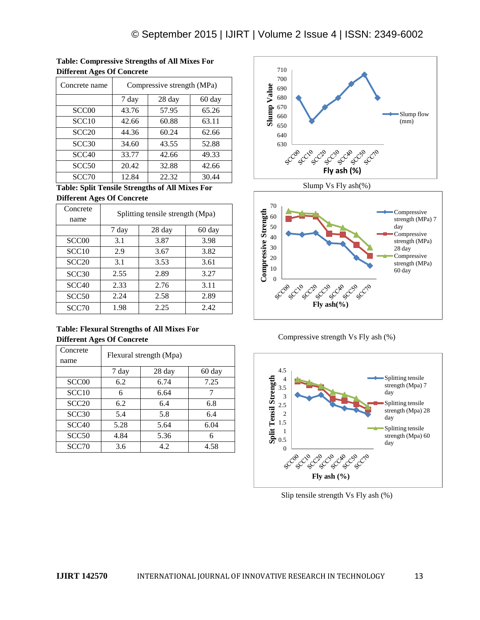| Concrete name     | Compressive strength (MPa) |        |        |  |  |  |
|-------------------|----------------------------|--------|--------|--|--|--|
|                   | 7 day                      | 28 day | 60 day |  |  |  |
| SCC <sub>00</sub> | 43.76                      | 57.95  | 65.26  |  |  |  |
| SCC <sub>10</sub> | 42.66                      | 60.88  | 63.11  |  |  |  |
| SCC20             | 44.36                      | 60.24  | 62.66  |  |  |  |
| SCC <sub>30</sub> | 34.60                      | 43.55  | 52.88  |  |  |  |
| SCC <sub>40</sub> | 33.77                      | 42.66  | 49.33  |  |  |  |
| SCC <sub>50</sub> | 20.42                      | 32.88  | 42.66  |  |  |  |
| SCC70             | 12.84                      | 22.32  | 30.44  |  |  |  |

**Table: Compressive Strengths of All Mixes For Different Ages Of Concrete**

**Table: Split Tensile Strengths of All Mixes For Different Ages Of Concrete**

| Concrete<br>name  | Splitting tensile strength (Mpa) |        |        |  |  |
|-------------------|----------------------------------|--------|--------|--|--|
|                   | 7 day                            | 28 day | 60 day |  |  |
| SCC <sub>00</sub> | 3.1                              | 3.87   | 3.98   |  |  |
| SCC10             | 2.9                              | 3.67   | 3.82   |  |  |
| SCC <sub>20</sub> | 3.1                              | 3.53   | 3.61   |  |  |
| SCC <sub>30</sub> | 2.55                             | 2.89   | 3.27   |  |  |
| SCC <sub>40</sub> | 2.33                             | 2.76   | 3.11   |  |  |
| SCC <sub>50</sub> | 2.24                             | 2.58   | 2.89   |  |  |
| SCC70             | 1.98                             | 2.25   | 2.42   |  |  |

# **Table: Flexural Strengths of All Mixes For Different Ages Of Concrete**

| Concrete<br>name  | Flexural strength (Mpa) |        |        |  |  |
|-------------------|-------------------------|--------|--------|--|--|
|                   | 7 day                   | 28 day | 60 day |  |  |
| SCC <sub>00</sub> | 6.2                     | 6.74   | 7.25   |  |  |
| SCC <sub>10</sub> | 6                       | 6.64   |        |  |  |
| SCC20             | 6.2                     | 6.4    | 6.8    |  |  |
| SCC30             | 5.4                     | 5.8    | 6.4    |  |  |
| SCC <sub>40</sub> | 5.28                    | 5.64   | 6.04   |  |  |
| SCC <sub>50</sub> | 4.84                    | 5.36   | 6      |  |  |
| SCC70             | 3.6                     | 4.2    | 4.58   |  |  |



Slump Vs Fly ash(%)



Compressive strength Vs Fly ash (%)



Slip tensile strength Vs Fly ash (%)